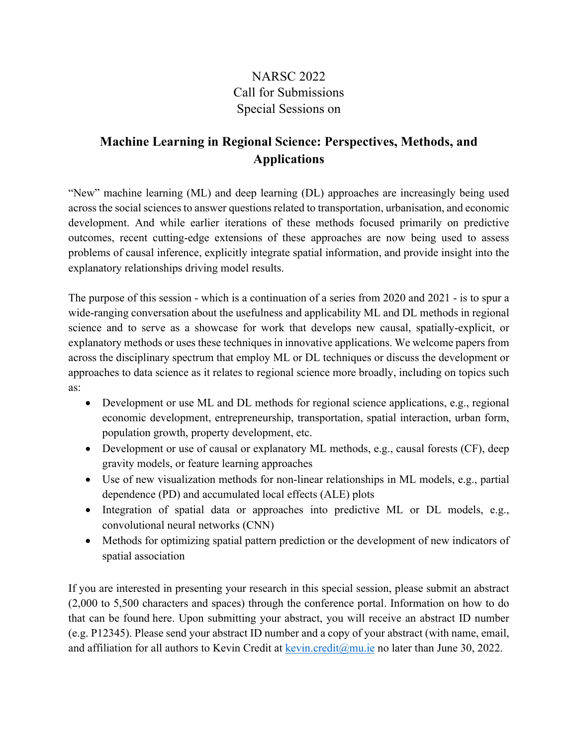## NARSC 2022 Call for Submissions Special Sessions on

## **Machine Learning in Regional Science: Perspectives, Methods, and Applications**

"New" machine learning (ML) and deep learning (DL) approaches are increasingly being used across the social sciences to answer questions related to transportation, urbanisation, and economic development. And while earlier iterations of these methods focused primarily on predictive outcomes, recent cutting-edge extensions of these approaches are now being used to assess problems of causal inference, explicitly integrate spatial information, and provide insight into the explanatory relationships driving model results.

The purpose of this session - which is a continuation of a series from 2020 and 2021 - is to spur a wide-ranging conversation about the usefulness and applicability ML and DL methods in regional science and to serve as a showcase for work that develops new causal, spatially-explicit, or explanatory methods or uses these techniques in innovative applications. We welcome papers from across the disciplinary spectrum that employ ML or DL techniques or discuss the development or approaches to data science as it relates to regional science more broadly, including on topics such as:

- Development or use ML and DL methods for regional science applications, e.g., regional economic development, entrepreneurship, transportation, spatial interaction, urban form, population growth, property development, etc.
- Development or use of causal or explanatory ML methods, e.g., causal forests (CF), deep gravity models, or feature learning approaches
- Use of new visualization methods for non-linear relationships in ML models, e.g., partial dependence (PD) and accumulated local effects (ALE) plots
- Integration of spatial data or approaches into predictive ML or DL models, e.g., convolutional neural networks (CNN)
- Methods for optimizing spatial pattern prediction or the development of new indicators of spatial association

If you are interested in presenting your research in this special session, please submit an abstract (2,000 to 5,500 characters and spaces) through the conference portal. Information on how to do that can be found here. Upon submitting your abstract, you will receive an abstract ID number (e.g. P12345). Please send your abstract ID number and a copy of your abstract (with name, email, and affiliation for all authors to Kevin Credit at kevin.credit@mu.ie no later than June 30, 2022.